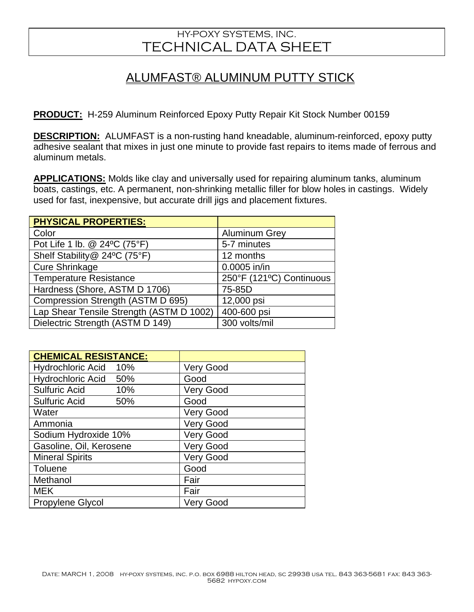## HY-POXY SYSTEMS, INC. TECHNICAL DATA SHEET

## ALUMFAST® ALUMINUM PUTTY STICK

**PRODUCT:** H-259 Aluminum Reinforced Epoxy Putty Repair Kit Stock Number 00159

**DESCRIPTION:** ALUMFAST is a non-rusting hand kneadable, aluminum-reinforced, epoxy putty adhesive sealant that mixes in just one minute to provide fast repairs to items made of ferrous and aluminum metals.

**APPLICATIONS:** Molds like clay and universally used for repairing aluminum tanks, aluminum boats, castings, etc. A permanent, non-shrinking metallic filler for blow holes in castings. Widely used for fast, inexpensive, but accurate drill jigs and placement fixtures.

| <b>PHYSICAL PROPERTIES:</b>              |                          |
|------------------------------------------|--------------------------|
| Color                                    | <b>Aluminum Grey</b>     |
| Pot Life 1 lb. @ 24°C (75°F)             | 5-7 minutes              |
| Shelf Stability@ 24°C (75°F)             | 12 months                |
| <b>Cure Shrinkage</b>                    | 0.0005 in/in             |
| <b>Temperature Resistance</b>            | 250°F (121°C) Continuous |
| Hardness (Shore, ASTM D 1706)            | 75-85D                   |
| Compression Strength (ASTM D 695)        | 12,000 psi               |
| Lap Shear Tensile Strength (ASTM D 1002) | 400-600 psi              |
| Dielectric Strength (ASTM D 149)         | 300 volts/mil            |

| <b>CHEMICAL RESISTANCE:</b>       |                  |
|-----------------------------------|------------------|
| Hydrochloric Acid 10%             | <b>Very Good</b> |
| <b>Hydrochloric Acid</b><br>- 50% | Good             |
| <b>Sulfuric Acid</b><br>10%       | <b>Very Good</b> |
| <b>Sulfuric Acid</b><br>50%       | Good             |
| Water                             | Very Good        |
| Ammonia                           | <b>Very Good</b> |
| Sodium Hydroxide 10%              | <b>Very Good</b> |
| Gasoline, Oil, Kerosene           | <b>Very Good</b> |
| <b>Mineral Spirits</b>            | <b>Very Good</b> |
| Toluene                           | Good             |
| Methanol                          | Fair             |
| <b>MEK</b>                        | Fair             |
| <b>Propylene Glycol</b>           | <b>Very Good</b> |